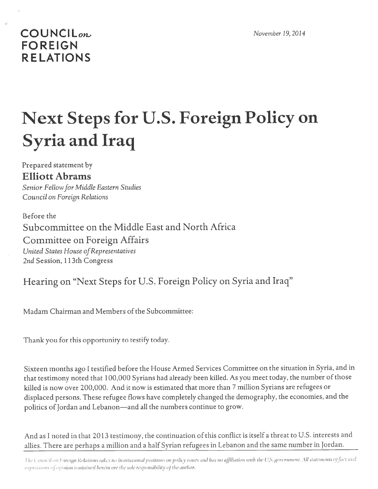## **COUNCIL**<sub>on</sub> **FOREIGN RELATIONS**

## **Next Steps for U.S. Foreign Policy on Syria and Iraq**

Prepared statement by **Elliott Abrams** Senior Fellow for Middle Eastern Studies Council on Foreign Relations

Before the Subcommittee on the Middle East and North Africa Committee on Foreign Affairs United States House of Representatives 2nd Session, 113th Congress

Hearing on "Next Steps for U.S. Foreign Policy on Syria and Iraq"

Madam Chairman and Members of the Subcommittee:

Thank you for this opportunity to testify today.

Sixteen months ago I testified before the House Armed Services Committee on the situation in Syria, and in that testimony noted that 100,000 Syrians had already been killed. As you meet today, the number of those killed is now over 200,000. And it now is estimated that more than 7 million Syrians are refugees or displaced persons. These refugee flows have completely changed the demography, the economies, and the politics of Jordan and Lebanon-and all the numbers continue to grow.

And as I noted in that 2013 testimony, the continuation of this conflict is itself a threat to U.S. interests and allies. There are perhaps a million and a half Syrian refugees in Lebanon and the same number in Jordan.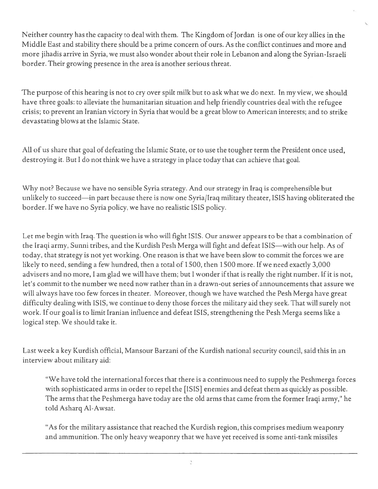Neither country has the capacity to deal with them. The Kingdom of Jordan is one of our key allies in the Middle East and stability there should be <sup>a</sup> prime concern of ours. As the conflict continues and more and more jihadis arrive in Syria, we must also wonder about their role in Lebanon and along the Syrian-Israeli border. Their growing presence in the area is another serious threat.

The purpose of this hearing is not to cry over spilt milk but to ask what we do next. In my view, we should have three goals: to alleviate the humanitarian situation and help friendly countries deal with the refugee crisis; to preven<sup>t</sup> an Iranian victory in Syria that would be <sup>a</sup> grea<sup>t</sup> blow to American interests; and to strike devastating blows at the Islamic State.

All of us share that goal of defeating the Islamic State, or to use the tougher term the President once used, destroying it. But I do not think we have <sup>a</sup> strategy in place today that can achieve that goal.

Why not? Because we have no sensible Syria strategy. And our strategy in Iraq is comprehensible but unlikely to succeed—in par<sup>t</sup> because there is now one Syria/Iraq military theater, ISIS having obliterated the border. If we have no Syria policy, we have no realistic ISIS policy.

Let me begin with Iraq. The question is who will fight ISIS. Our answer appears to be that <sup>a</sup> combination of the Iraqi army, Sunni tribes, and the Kurdish Pesh Merga will fight and defeat ISIS—with our help. As of today, that strategy is not ye<sup>t</sup> working. One reason is that we have been slow to commit the forces we are likely to need, sending <sup>a</sup> few hundred, then <sup>a</sup> total of 1500, then <sup>1500</sup> more. If we need exactly 3,000 advisers and no more, I am glad we will have them; but I wonder if that is really the right number. If it is not, let's commit to the number we need now rather than in <sup>a</sup> drawn-out series of announcements that assure we will always have too few forces in theater. Moreover, though we have watched the Pesh Merga have grea<sup>t</sup> difficulty dealing with IS IS, we continue to deny those forces the military aid they seek. That will surely not work. If our goal is to limit Iranian influence and defeat ISIS, strengthening the Pesh Merga seems like <sup>a</sup> logical step. We should take it.

Last week a key Kurdish official, Mansour Barzani of the Kurdish national security council, said this in an interview about military aid:

"We have told the international forces that there is <sup>a</sup> continuous need to supply the Peshmerga forces with sophisticated arms in order to repel the [ISIS] enemies and defeat them as quickly as possible. The arms that the Peshmerga have today are the old arms that came from the former Iraqi army," he told Asharq Al-Awsat.

"As for the military assistance that reached the Kurdish region, this comprises medium weaponry and ammunition. The only heavy weaponry that we have ye<sup>t</sup> received is some anti-tank missiles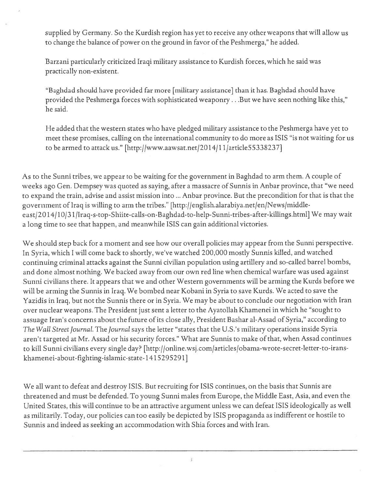supplied by Germany. So the Kurdish region has ye<sup>t</sup> to receive any other weapons that will allow us to change the balance of power on the ground in favor of the Peshmerga," he added.

Barzani particularly criticized Iraqi military assistance to Kurdish forces, which he said was practically non-existent.

"Baghdad should have provided far more [military assistance] than it has. Baghdad should have provided the Peshmerga forces with sophisticated weaponry . . .But we have seen nothing like this," he said.

He added that the western states who have pledged military assistance to the Peshmerga have ye<sup>t</sup> to meet these promises, calling on the international community to do more as ISIS "is not waiting for us to be armed to attack us." [http://www.aawsat.net/2014/l l/article55338237]

As to the Sunni tribes, we appear to be waiting for the governmen<sup>t</sup> in Baghdad to arm them. A couple of weeks ago Gen. Dempsey was quoted as saying, after <sup>a</sup> massacre of Sunnis in Anbar province, that "we need to expand the train, advise and assist mission into ... Anbar province. But the precondition for that is that the governmen<sup>t</sup> of Iraq is willing to arm the tribes." [http://english.alarabiya.net/en/News/middle east/2014/10/31/Iraq-s-top-Shiite-calls-on-Baghdad-to-help-Sunni-tribes-after-killings.html] We may wait <sup>a</sup> long time to see that happen, and meanwhile ISIS can gain additional victories.

We should step back for <sup>a</sup> moment and see how our overall policies may appear from the Sunni perspective. In Syria, which <sup>I</sup> will come back to shortly, we've watched 200,000 mostly Sunnis killed, and watched continuing criminal attacks against the Sunni civilian population using artillery and so-called barrel bombs, and done almost nothing. We backed away from our own red line when chemical warfare was used against Sunni civilians there. It appears that we and other Western governments will be arming the Kurds before we will be arming the Sunnis in Iraq. We bombed near Kobani in Syria to save Kurds. We acted to save the Yazidis in Iraq, but not the Sunnis there or in Syria. We may be about to conclude our negotiation with Iran over nuclear weapons. The President just sent <sup>a</sup> letter to the Ayatollah Khamenei in which he "sought to assuage Iran's concerns about the future of its close ally, President Bashar al-Assad of Syria," according to The Wall Street Journal. The Journal says the letter "states that the U.S.'s military operations inside Syria aren't targeted at Mr. Assad or his security forces." What are Sunnis to make of that, when Assad continues to kill Sunni civilians every single day? [http://online.wsj.com/articles/obama-wrote-secret-letter-to-iranskharnenei-about-fighting-islamic-state- 1415295291]

We all want to defeat and destroy ISIS. But recruiting for ISIS continues, on the basis that Sunnis are threatened and must be defended. To young Sunni males from Europe, the Middle East, Asia, and even the United States, this will continue to be an attractive argumen<sup>t</sup> unless we can defeat ISIS ideologically as well as militarily. Today, our policies can too easily be depicted by ISIS propaganda as indifferent or hostile to Sunnis and indeed as seeking an accommodation with Shia forces and with Iran.

3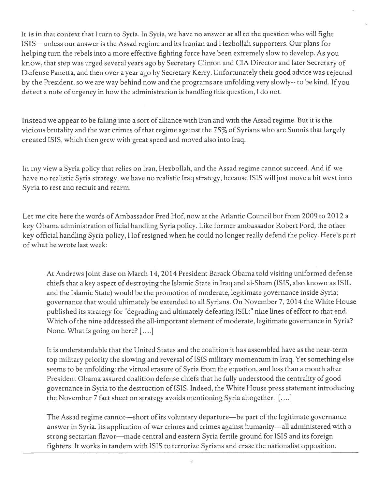It is in that context that <sup>I</sup> turn to Syria. In Syria, we have no answer at all to the question who will fight ISIS—unless our answer is the Assad regime and its Iranian and Hezbollah supporters. Our plans for helping turn the rebels into <sup>a</sup> more effective fighting force have been extremely slow to develop. As you know, that step was urged several years ago by Secretary Clinton and CIA Director and later Secretary of Defense Panetta, and then over <sup>a</sup> year ago by Secretary Kerry. Unfortunately their good advice was rejected by the President, so we are way behind now and the programs are unfolding very slowly-- to be kind. If you detect <sup>a</sup> note of urgency in how the administration is handling this question, I do not.

Instead we appear to be falling into <sup>a</sup> Sort of alliance with Iran and with the Assad regime. But it is the vicious brutality and the war crimes of that regime against the 75% of Syrians who are Sunnis that largely created ISIS, which then grew with grea<sup>t</sup> speed and moved also into Iraq.

In my view <sup>a</sup> Syria policy that relies on Iran, Hezbollah, and the Assad regime cannot succeed. And if we have no realistic Syria strategy, we have no realistic Iraq strategy, because ISIS will just move <sup>a</sup> bit west into Syria to rest and recruit and rearm.

Let me cite here the words of Ambassador Fred Hof, now at the Atlantic Council but from 2009 to 2012 <sup>a</sup> key Obama administration official handling Syria policy. Like former ambassador Robert Ford, the other key official handling Syria policy, Hofresigned when he could no longer really defend the policy. Here's par<sup>t</sup> ofwhat he wrote last week:

At Andrews Joint Base on March 14, 2014 President Barack Obama told visiting uniformed defense chiefs that <sup>a</sup> key aspec<sup>t</sup> of destroying the Islamic State in Iraq and al-Sham (ISIS, also known as ISIL and the Islamic State) would be the promotion of moderate, legitimate governance inside Syria; governance that would ultimately be extended to all Syrians. On November 7, 2014 the White House published its strategy for "degrading and ultimately defeating ISIL:" nine lines of effort to that end. Which of the nine addressed the all-important element of moderate, legitimate governance in Syria? None. What is going on here?  $[...]$ 

It is understandable that the United States and the coalition it has assembled have as the near-term top military priority the slowing and reversal of ISIS military momentum in Iraq. Yet something else seems to be unfolding: the virtual erasure of Syria from the equation, and less than <sup>a</sup> month after President Obama assured coalition defense chiefs that he fully understood the centrality of good governance in Syria to the destruction of ISIS. Indeed, the White House press statement introducing the November <sup>7</sup> fact sheet on strategy avoids mentioning Syria altogether. [....]

The Assad regime cannot—short of its voluntary departure—be part of the legitimate governance answer in Syria. Its application of war crimes and crimes against humanity—all administered with <sup>a</sup> strong sectarian flavor—made central and eastern Syria fertile ground for ISIS and its foreign fighters. It works in tandem with ISIS to terrorize Syrians and erase the nationalist opposition.

4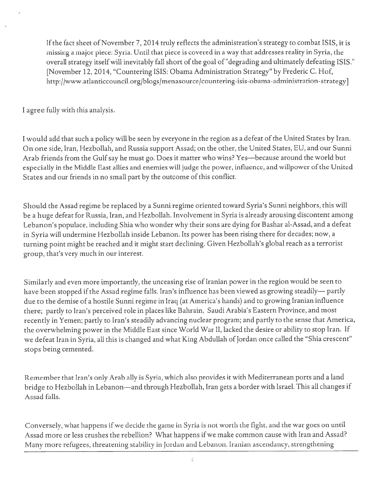If the fact sheet of November 7, 2014 truly reflects the administration's strategy to combat ISIS, it is missing <sup>a</sup> major <sup>p</sup>iece: Syria. Until that <sup>p</sup>iece is covered in <sup>a</sup> way that addresses reality in Syria, the overall strategy itself will inevitably fall short of the goal of"degrading and ultimately defeating ISIS." [November 12, 2014, "Countering ISIS: Obama Administration Strategy" by Frederic C. Hof, http://www.atlanticcouncil.org/blogs/menasource/countering-isis-obama-administration-strategy]

I agree fully with this analysis.

<sup>I</sup> would add that such <sup>a</sup> policy will be seen by everyone in the region as <sup>a</sup> defeat of the United States by Iran. On one side, Iran, Hezbollah, and Russia suppor<sup>t</sup> Assad; on the other, the United States, EU, and our Sunni Arab friends from the Gulf say he must go. Does it matter who wins? Yes—because around the world but especially in the Middle East allies and enemies will judge the power, influence, and willpower ofthe United States and our friends in no small par<sup>t</sup> by the outcome of this conflict.

Should the Assad regime be replaced by <sup>a</sup> Sunni regime oriented toward Syria's Sunni neighbors, this will be <sup>a</sup> huge defeat for Russia, Iran, and Hezbollah. Involvement in Syria is already arousing discontent among Lebanon's populace, including Shia who wonder why their sons are dying for Bashar al-Assad, and <sup>a</sup> defeat in Syria will undermine Hezbollah inside Lebanon. Its power has been rising there for decades; now, <sup>a</sup> turning point might be reached and it might start declining. Given Hezbollah's <sup>g</sup>lobal reach as <sup>a</sup> terrorist group, that's very much in our interest.

Similarly and even more importantly, the unceasing rise of Iranian power in the region would be seen to have been stopped if the Assad regime falls. Iran's influence has been viewed as growing steadily— partly due to the demise of <sup>a</sup> hostile Sunni regime in Iraq (at America's hands) and to growing Iranian influence there; partly to Iran's perceived role in <sup>p</sup>laces like Bahrain, Saudi Arabia's Eastern Province, and most recently in Yemen; partly to Iran's steadily advancing nuclear program; and partly to the sense that America, the overwhelming power in the Middle East since World War II, lacked the desire or ability to stop Iran. If we defeat Iran in Syria, all this is changed and what King Abdullah of Jordan once called the "Shia crescent" stops being cemented.

Remember that Iran's only Arab ally is Syria, which also provides it with Mediterranean ports and <sup>a</sup> land bridge to Hezbollah in Lebanon—and through Hezbollah, Iran gets <sup>a</sup> border with Israel. This all changes if Assad falls.

Conversely, what happens if we decide the game in Syria is not worth the fight, and the war goes on until Assad more or less crushes the rebellion? What happens if we make common cause with Iran and Assad? Many more refugees, threatening stability in Jordan and Lebanon. Iranian ascendancy, strengthening

 $\tilde{5}$